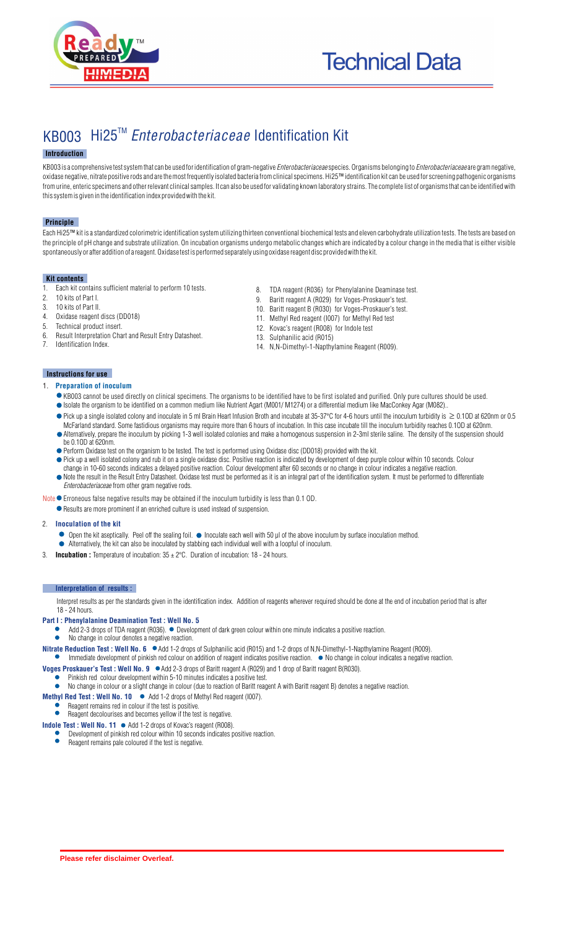

# KB003 Hi25<sup>™</sup> Enterobacteriaceae Identification Kit

#### **Introduction**

KB003 is a comprehensive test system that can be used for identification of gram-negative *Enterobacteriaceae* species. Organisms belonging to *Enterobacteriaceae* are gram negative, oxidase negative, nitrate positive rods and are the most frequently isolated bacteria from clinical specimens. Hi25™ identification kit can be used for screening pathogenic organisms from urine, enteric specimens and other relevant clinical samples. It can also be used for validating known laboratory strains. The complete list of organisms that can be identified with this system is given in the identification index provided with the kit.

#### **Principle**

Each Hi25™ kit is a standardized colorimetric identification system utilizing thirteen conventional biochemical tests and eleven carbohydrate utilization tests. The tests are based on the principle of pH change and substrate utilization. On incubation organisms undergo metabolic changes which are indicated by a colour change in the media that is either visible spontaneously or after addition of a reagent. Oxidase test is performed separately using oxidase reagent disc provided with the kit.

#### **Kit contents**

- 1. Each kit contains sufficient material to perform 10 tests.<br>2. 10 kits of Part I
- 2. 10 kits of Part I.<br>3. 10 kits of Part II.
- 3. 10 kits of Part II.
- Oxidase reagent discs (DD018)
- 5. Technical product insert.
- 6. Result Interpretation Chart and Result Entry Datasheet. Identification Index
- Baritt reagent A (R029) for Voges-Proskauer's test. 10. Baritt reagent B (R030) for Voges-Proskauer's test.

8. TDA reagent (R036) for Phenylalanine Deaminase test.<br>9. Baritt reagent A (R029) for Voges-Proskauer's test.

- 11. Methyl Red reagent (I007) for Methyl Red test
- 12. Kovac's reagent (R008) for Indole test
- 13. Sulphanilic acid (R015)
- 14. N,N-Dimethyl-1-Napthylamine Reagent (R009).

#### **Instructions for use**

#### 1. **Preparation of inoculum**

- KB003 cannot be used directly on clinical specimens. The organisms to be identified have to be first isolated and purified. Only pure cultures should be used. Isolate the organism to be identified on a common medium like Nutrient Agart (M001/ M1274) or a differential medium like MacConkey Agar (M082)..
- $\bullet$  Pick up a single isolated colony and inoculate in 5 ml Brain Heart Infusion Broth and incubate at 35-37°C for 4-6 hours until the inoculum turbidity is  $\geq 0.10$  at 620nm or 0.5
- McFarland standard. Some fastidious organisms may require more than 6 hours of incubation. In this case incubate till the inoculum turbidity reaches 0.1OD at 620nm. Alternatively, prepare the inoculum by picking 1-3 well isolated colonies and make a homogenous suspension in 2-3ml sterile saline. The density of the suspension should be 0.1OD at 620nm.
- Perform Oxidase test on the organism to be tested. The test is performed using Oxidase disc (DD018) provided with the kit.
- Pick up a well isolated colony and rub it on a single oxidase disc. Positive reaction is indicated by development of deep purple colour within 10 seconds. Colour
- change in 10-60 seconds indicates a delayed positive reaction. Colour development after 60 seconds or no change in colour indicates a negative reaction. Note the result in the Result Entry Datasheet. Oxidase test must be performed as it is an integral part of the identification system. It must be performed to differentiate *Enterobacteriaceae* from other gram negative rods.
- Note  $\bullet$  Erroneous false negative results may be obtained if the inoculum turbidity is less than 0.1 OD.
	- Results are more prominent if an enriched culture is used instead of suspension.

#### 2. **Inoculation of the kit**

- Open the kit aseptically. Peel off the sealing foil. Inoculate each well with 50 µl of the above inoculum by surface inoculation method.
- Alternatively, the kit can also be inoculated by stabbing each individual well with a loopful of inoculum.
- **Incubation :** Temperature of incubation:  $35 \pm 2^{\circ}$ C. Duration of incubation: 18 24 hours.

#### **Interpretation of results :**

Interpret results as per the standards given in the identification index. Addition of reagents wherever required should be done at the end of incubation period that is after 18 - 24 hours.

#### **Part I : Phenylalanine Deamination Test : Well No. 5**

- Add 2-3 drops of TDA reagent (R036).  $\bullet$  Development of dark green colour within one minute indicates a positive reaction.
- No change in colour denotes a negative reaction.
- **Nitrate Reduction Test : Well No. 6**  $\bullet$  Add 1-2 drops of Sulphanilic acid (R015) and 1-2 drops of N,N-Dimethyl-1-Napthylamine Reagent (R009).
- Immediate development of pinkish red colour on addition of reagent indicates positive reaction.  $\bullet$  No change in colour indicates a negative reaction.
- **Voges Proskauer's Test : Well No. 9** Add 2-3 drops of Baritt reagent A (R029) and 1 drop of Baritt reagent B(R030).
	- Pinkish red colour development within 5-10 minutes indicates a positive test.
	- No change in colour or a slight change in colour (due to reaction of Baritt reagent A with Baritt reagent B) denotes a negative reaction.
- **Methyl Red Test : Well No. 10**  $\bullet$  Add 1-2 drops of Methyl Red reagent (I007).
	- Reagent remains red in colour if the test is positive.
- Reagent decolourises and becomes yellow if the test is negative.

#### **Indole Test : Well No. 11 ●** Add 1-2 drops of Kovac's reagent (R008).

- Development of pinkish red colour within 10 seconds indicates positive reaction.  $\bullet$
- Reagent remains pale coloured if the test is negative.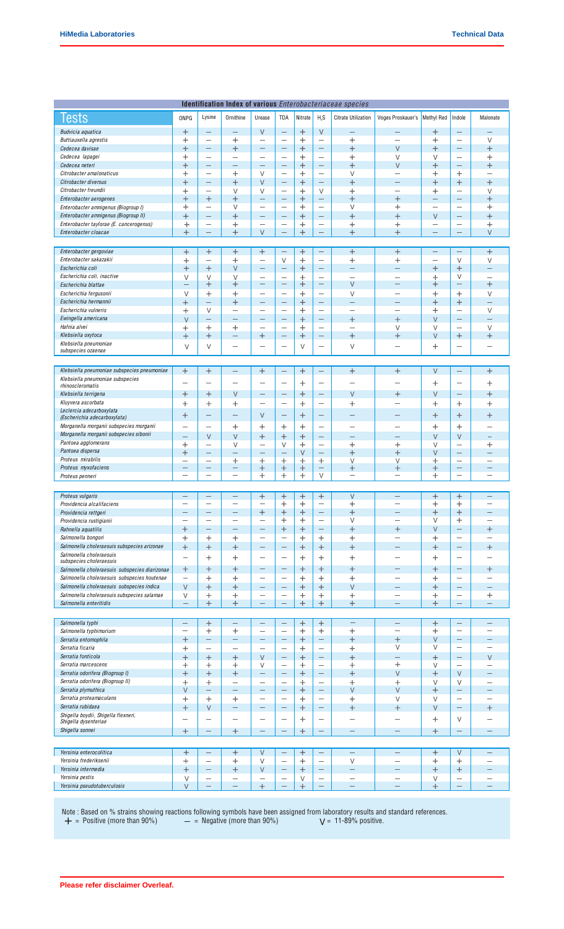| Identification Index of various Enterobacteriaceae species        |                               |                                                      |                                               |                                               |                                                      |                                 |                                             |                                 |                                    |                                             |                               |                                                      |
|-------------------------------------------------------------------|-------------------------------|------------------------------------------------------|-----------------------------------------------|-----------------------------------------------|------------------------------------------------------|---------------------------------|---------------------------------------------|---------------------------------|------------------------------------|---------------------------------------------|-------------------------------|------------------------------------------------------|
| Tests                                                             | ONPG                          | Lysine                                               | Ornithine                                     | Urease                                        | TDA                                                  | Nitrate                         | H <sub>2</sub> S                            | <b>Citrate Utilization</b>      | Voges Proskauer's                  | <b>Methyl Red</b>                           | Indole                        | Malonate                                             |
|                                                                   |                               |                                                      |                                               |                                               |                                                      |                                 |                                             |                                 |                                    |                                             |                               |                                                      |
| Budvicia aquatica                                                 | $\pm$                         |                                                      | $\overline{\phantom{0}}$                      | $\vee$                                        | $\overline{\phantom{0}}$                             | $^{+}$                          | $\vee$                                      | $\overline{\phantom{0}}$        |                                    | $\ddot{}$                                   | -                             |                                                      |
| Buttiauxella agrestis                                             | $\pm$                         | $\overline{\phantom{0}}$                             | $\,{}^{+}\,$                                  | $\overline{\phantom{0}}$                      | $\overline{\phantom{0}}$                             | $\,+\,$                         | $\overline{\phantom{0}}$                    | $\ddot{}$                       | $\overline{\phantom{0}}$           | $\pm$                                       | —                             | $\vee$                                               |
| Cedecea davisae                                                   | $\overline{+}$                |                                                      | $^{+}$                                        | —                                             | $\overline{\phantom{0}}$                             | $\, +$                          |                                             | $\ddot{}$                       | $\vee$                             | $\ddag$                                     | $\overline{\phantom{0}}$      | $\overline{+}$                                       |
| Cedecea lapagei                                                   | $\hskip 0.025cm +$            | $\overline{\phantom{0}}$<br>$\overline{\phantom{0}}$ | $\overline{\phantom{0}}$<br>-                 | $\overline{\phantom{0}}$<br>÷                 | $\overline{\phantom{0}}$<br>$\overline{\phantom{0}}$ | $\hspace{0.1mm} +$              | $\overline{\phantom{0}}$                    | $\hspace{0.1mm} +$              | $\vee$                             | V                                           | $\overline{\phantom{0}}$<br>— | $\, +$                                               |
| Cedecea neteri<br>Citrobacter amalonaticus                        | $\ddag$<br>$\hskip 0.025cm +$ | $\overline{\phantom{0}}$                             | $\,{}^+$                                      | V                                             | $\overline{\phantom{0}}$                             | $\ddot{}$<br>$\hskip 0.025cm +$ | $\overline{\phantom{0}}$                    | $\ddot{}$<br>V                  | $\vee$<br>$\overline{\phantom{0}}$ | $\ddag$<br>$\hskip 0.025cm +\hskip 0.025cm$ | $^+$                          | $\ddag$<br>÷                                         |
| Citrobacter diversus                                              | $^{+}$                        | $\overline{\phantom{0}}$                             | $^{+}$                                        | V                                             | $\qquad \qquad$                                      | $^{+}$                          | $\overline{\phantom{0}}$                    | $\ddot{}$                       | -                                  | $\ddot{}$                                   | $^{+}$                        | $^{+}$                                               |
| Citrobacter freundii                                              | $\mathrm{+}$                  | $\qquad \qquad -$                                    | $\vee$                                        | $\vee$                                        | $\qquad \qquad -$                                    | $\hspace{0.1mm} +$              | V                                           | $\mathrm{+}$                    | $\overline{\phantom{0}}$           |                                             | $\qquad \qquad$               | V                                                    |
| Enterobacter aerogenes                                            | $\, +$                        | $\ddot{}$                                            | $^{+}$                                        | $\overline{\phantom{0}}$                      | ÷                                                    | $\mathrm{+}$                    | $\overline{\phantom{0}}$                    | $\ddot{}$                       | $\, +$                             | $\mathrm{+}$<br>-                           | ÷,                            | $\, +$                                               |
| Enterobacter amnigenus (Biogroup I)                               | $\pm$                         | $\overline{\phantom{0}}$                             | V                                             | $\overline{\phantom{0}}$                      | $\overline{\phantom{0}}$                             | $\pm$                           | $\overline{\phantom{0}}$                    | V                               | $\hskip 0.025cm +$                 | $\overline{\phantom{0}}$                    | $\overline{\phantom{0}}$      | $\, +$                                               |
| Enterobacter amnigenus (Biogroup II)                              | $\ddag$                       |                                                      | $^{+}$                                        | -                                             |                                                      | $^{+}$                          |                                             | $\ddot{}$                       | $\ddot{}$                          | $\vee$                                      |                               | $^{+}$                                               |
| Enterobacter taylorae (E. cancerogenus)                           | $\,+\,$                       | $\overline{\phantom{m}}$                             | $\hspace{0.1mm} +$                            | $\overline{\phantom{0}}$                      | $\overline{\phantom{m}}$                             | $\hspace{0.1mm} +$              | $\qquad \qquad -$                           | $\ddot{}$                       | $\hskip 0.025cm +$                 | -                                           | $\overline{\phantom{0}}$      | $\hspace{0.1mm} +$                                   |
| Enterobacter cloacae                                              | $\,$                          | $\equiv$                                             | $\ddot{}$                                     | V                                             | $\overline{\phantom{0}}$                             | $\, +$                          | $\overline{\phantom{m}}$                    | $\ddot{}$                       | $\, +$                             | —                                           | -                             | V                                                    |
|                                                                   |                               |                                                      |                                               |                                               |                                                      |                                 |                                             |                                 |                                    |                                             |                               |                                                      |
| Enterobacter gergoviae                                            | $^{+}$                        | $\boldsymbol{+}$                                     | $\, +$                                        | $\pm$                                         | $\overline{\phantom{0}}$                             | $\mathrm{+}$                    | $\qquad \qquad$                             | $\ddot{}$                       | $\ddot{}$                          | $\overline{\phantom{0}}$                    | -                             | $\, +$                                               |
| Enterobacter sakazakii                                            | $^{+}$                        | $\overline{\phantom{0}}$                             | $^{+}$                                        | $\overline{\phantom{0}}$                      | V                                                    | $\pm$                           | $\overline{\phantom{0}}$                    | $\ddot{}$                       | $\mathrm{+}$                       | $\overline{\phantom{0}}$                    | $\vee$                        | V                                                    |
| Escherichia coli                                                  | $^{+}$                        | $^{+}$                                               | V                                             | —                                             | $\overline{\phantom{0}}$                             | $\, +$                          |                                             | $\overline{\phantom{0}}$        | $\overline{\phantom{0}}$           | $\, +$                                      | $\ddot{}$                     | —                                                    |
| Escherichia coli, inactive                                        | V                             | V                                                    | V                                             | $\overline{\phantom{0}}$                      | $\overline{\phantom{0}}$                             | $\pm$                           | $\overline{\phantom{0}}$                    | $\overline{\phantom{0}}$        | $\overline{\phantom{0}}$           | $\pm$                                       | V                             | $\overline{\phantom{0}}$                             |
| Escherichia blattae                                               |                               | $\hbox{+}$                                           | $\boldsymbol{+}$                              | —                                             | -                                                    | $\mathrm{+}$                    |                                             | V                               | -                                  | $\hskip 0.025cm +$                          | -                             | $\ddot{}$                                            |
| Escherichia fergusonii                                            | V                             | $\pm$                                                | $\,{}^{+}\,$                                  | $\overline{\phantom{0}}$                      | $\overline{\phantom{0}}$                             | $\, +$                          | $\overline{\phantom{0}}$                    | $\vee$                          | $\overline{\phantom{0}}$           | $\ddot{}$                                   | $\, +$                        | V                                                    |
| Escherichia hermannii                                             | $\overline{+}$                | -                                                    | $\, +$                                        | $\qquad \qquad$                               | $\overline{\phantom{0}}$                             | $\, +$                          |                                             | $\overline{\phantom{0}}$        | -                                  | $\pm$                                       | $^{+}$                        | $\overline{\phantom{0}}$                             |
| Escherichia vulneris                                              | $\pm$                         | V                                                    | -                                             | $\qquad \qquad$                               | $\qquad \qquad -$                                    | $\,{}^+$                        | $\overline{\phantom{0}}$                    | $\overline{\phantom{0}}$        | $\overline{\phantom{0}}$           | $\hskip 0.025cm +$                          | $\qquad \qquad$               | V                                                    |
| Ewingella americana                                               | $\vee$                        | $\qquad \qquad$                                      | $\overline{\phantom{0}}$                      |                                               | $\overline{\phantom{0}}$                             | $\, +$                          | $\overline{\phantom{m}}$                    | $\,$                            | $\, +$                             | $\vee$                                      | -                             | -                                                    |
| Hafnia alvei                                                      | $\hskip 0.025cm +$            | $\pm$                                                | $\pm$                                         | $\overline{\phantom{0}}$                      | $\overline{\phantom{0}}$                             | $\pm$                           | $\overline{\phantom{a}}$                    | $\overline{\phantom{0}}$        | V                                  | V                                           | $\overline{\phantom{0}}$      | $\vee$                                               |
| Klebsiella oxytoca                                                | $^{+}$                        | $^{+}$                                               | -                                             | $\, +$                                        | $\qquad \qquad$                                      | $^{+}$                          | $\overline{\phantom{m}}$                    | $\ddot{}$                       | $\mathrm{+}$                       | $\vee$                                      | $^{+}$                        | $^{+}$                                               |
| Klebsiella pneumoniae<br>subspecies ozaenae                       | $\vee$                        | V                                                    | -                                             | -                                             | -                                                    | $\vee$                          | $\overline{\phantom{0}}$                    | V                               | -                                  | $\hskip 0.025cm +$                          | $\overline{\phantom{0}}$      | -                                                    |
|                                                                   |                               |                                                      |                                               |                                               |                                                      |                                 |                                             |                                 |                                    |                                             |                               |                                                      |
|                                                                   |                               |                                                      |                                               |                                               |                                                      |                                 |                                             |                                 |                                    |                                             |                               |                                                      |
| Klebsiella pneumoniae subspecies pneumoniae                       | $^{+}$                        | $^{+}$                                               | $\overline{\phantom{0}}$                      | $^{+}$                                        | $\overline{\phantom{m}}$                             | $^{+}$                          | $\overline{\phantom{m}}$                    | $^{+}$                          | $+$                                | $\vee$                                      | $\equiv$                      | $^{+}$                                               |
| Klebsiella pneumoniae subspecies<br>rhinoscleromatis              | $\overline{\phantom{0}}$      | $\overline{\phantom{0}}$                             | $\overline{\phantom{0}}$                      | $\overline{\phantom{0}}$                      | $\overline{\phantom{0}}$                             | $\,{}^+$                        |                                             | -                               | $\overline{\phantom{0}}$           | $\hskip 0.025cm +$                          | $\overline{\phantom{0}}$      | $\, +$                                               |
| Klebsiella terrigena                                              | $\, +$                        | $\hbox{+}$                                           | $\vee$                                        | —                                             | $\overline{\phantom{0}}$                             | $^{+}$                          | $\overline{\phantom{0}}$                    | V                               | $\ddot{}$                          | $\vee$                                      | $\overline{\phantom{0}}$      | $\ddot{}$                                            |
| Kluyvera ascorbata                                                | $\hspace{0.1mm} +$            | $\mathrm{+}$                                         | $\,$                                          | $\overline{\phantom{0}}$                      | $\qquad \qquad -$                                    | $\,+\,$                         | $\overline{\phantom{0}}$                    | $\,$                            | -                                  | $\mathrm{+}$                                | $\hskip 0.025cm +$            | $\ddag$                                              |
| Leclercia adecarboxylata                                          |                               |                                                      |                                               |                                               |                                                      |                                 |                                             |                                 |                                    |                                             |                               |                                                      |
| (Escherichia adecarboxylata)                                      | $\, +$                        | $\qquad \qquad -$                                    | -                                             | V                                             | -                                                    | $\mathrm{+}$                    |                                             | -                               | -                                  | $\ddot{}$                                   | $\, +$                        | $\ddot{}$                                            |
| Morganella morganii subspecies morganii                           | —                             | $\overline{\phantom{0}}$                             | $\ddot{}$                                     | $\ddot{}$                                     | $\ddot{}$                                            | $\ddag$                         | $\overline{\phantom{0}}$                    | $\qquad \qquad -$               | $\overline{\phantom{0}}$           | $\mathrm{+}$                                | $\ddag$                       | —                                                    |
| Morganella morganii subspecies sibonii                            | ÷                             | $\vee$                                               | $\vee$                                        | $^{+}$                                        | $\ddot{}$                                            | $\, +$                          |                                             | $\overline{\phantom{0}}$        | $\overline{\phantom{0}}$           | $\vee$                                      | $\vee$                        | $\equiv$                                             |
| Pantoea agglomerans                                               | $^+$                          | $\overline{\phantom{0}}$                             | V                                             | $\overline{\phantom{0}}$                      | V                                                    | $\hskip 0.025cm +$              | $\overline{\phantom{m}}$                    | $\hskip 0.025cm +$              | $\pm$                              | V                                           | $\overline{\phantom{0}}$      | $\, +$                                               |
| Pantoea dispersa                                                  | $\,{}^+$                      | $\overline{\phantom{0}}$                             |                                               | —                                             |                                                      | V                               |                                             | $\ddot{}$                       | $\hskip 0.025cm +$                 | $\vee$                                      | -                             |                                                      |
| Proteus mirabilis                                                 | -                             | $\overline{\phantom{0}}$                             | $\pm$                                         | $\pm$                                         | Ŧ                                                    | $\pm$                           | $\pm$                                       | $\vee$                          | V                                  | $\pm$                                       | $\overline{\phantom{0}}$      | $\overline{\phantom{0}}$                             |
| Proteus myxofaciens                                               | -                             | $\qquad \qquad$                                      | $\qquad \qquad -$                             | $\mathrm{+}$                                  | $\,$                                                 | $\mathrm{+}$                    |                                             | $\,$                            | $\mathrm{+}$                       | $\mathrm{+}$                                | —                             | -                                                    |
| Proteus penneri                                                   | -                             | $\overline{\phantom{0}}$                             | -                                             | $\ddot{}$                                     | $\, +$                                               | $\,+\,$                         | V                                           | $\overline{\phantom{0}}$        | $\overline{\phantom{a}}$           | $\mathrm{+}$                                | $\overline{\phantom{0}}$      | -                                                    |
|                                                                   |                               |                                                      |                                               |                                               |                                                      |                                 |                                             |                                 |                                    |                                             |                               |                                                      |
| Proteus vulgaris                                                  |                               |                                                      |                                               | $\,{}^+$                                      | $\,+\,$                                              | $\,+\,$                         | $\mathrm{+}$                                | V                               |                                    | $\,+\,$                                     | $\,+\,$                       |                                                      |
| Providencia alcalifaciens                                         | -                             | $\qquad \qquad$                                      | -                                             | -                                             | $\pm$                                                | $\mathrm{+}$                    | $\qquad \qquad$                             | $\ddot{}$                       | -                                  | $\mathrm{+}$                                | $\mathrm{+}$                  | —                                                    |
| Providencia rettgeri                                              |                               |                                                      |                                               | $\,{}^+$<br>-                                 | $\ddot{}$                                            | $^{+}$                          |                                             | $\, + \,$<br>V                  | -                                  | $\ddag$<br>V                                | $^{+}$                        | -                                                    |
| Providencia rustigianii                                           |                               | $\qquad \qquad -$                                    | $\overline{\phantom{0}}$                      | $\overline{\phantom{0}}$                      | $\pm$<br>$^{+}$                                      | $\hskip 0.025cm +$<br>$^{+}$    | $\overline{\phantom{m}}$                    | $^{+}$                          | $\ddag$                            | $\vee$                                      | $\mathrm{+}$<br>—             | $\ddot{}$                                            |
| Rahnella aquatilis                                                | $\boldsymbol{+}$<br>$\ddag$   | $\! +$                                               | $\hspace{0.1mm} +$                            | $\qquad \qquad$                               | $\qquad \qquad -$                                    | $\! + \!\!\!\!$                 | $^{+}$                                      | $\ddot{}$                       | $\overline{\phantom{0}}$           | $\mathrm{+}$                                | $\qquad \qquad$               | $\overline{\phantom{0}}$                             |
| Salmonella bongori<br>Salmonella choleraesuis subspecies arizonae |                               |                                                      |                                               | $\overline{\phantom{0}}$                      | $\overline{\phantom{m}}$                             | $+$                             |                                             | $+$                             | $\overline{\phantom{0}}$           |                                             | $\overline{\phantom{0}}$      |                                                      |
| Salmonella choleraesuis                                           | $^{+}$                        | $\pm$                                                | $^{+}$                                        |                                               |                                                      |                                 | $\pm$                                       |                                 |                                    | $\ddot{}$                                   |                               | $\ddot{}$                                            |
| subspecies choleraesuis                                           | $\overline{\phantom{0}}$      | $\, +$                                               | $^+$                                          | $\qquad \qquad$                               | $\qquad \qquad -$                                    | $\hspace{0.1mm} +$              | $\mathrm{+}$                                | $\boldsymbol{+}$                | -                                  | $\hspace{0.1mm} +$                          | -                             | ÷                                                    |
| Salmonella choleraesuis subspecies diarizonae                     | $\pm$                         | $\pm$                                                | $\, +$                                        | $\overline{\phantom{0}}$                      | $\overline{\phantom{0}}$                             | $^{+}$                          | $\pm$                                       | $^{+}$                          | $\overline{\phantom{0}}$           | $\ddot{}$                                   | $\overline{\phantom{0}}$      | $\pm$                                                |
| Salmonella choleraesuis subspecies houtenae                       | $\qquad \qquad$               | $\pm$                                                | $\hskip 0.025cm +$                            | $\qquad \qquad -$                             | $\qquad \qquad -$                                    | $\mathrm{+}$                    | $\div$                                      | $\pm$                           |                                    | $\pm$                                       | $\qquad \qquad$               | $\overline{\phantom{0}}$                             |
| Salmonella choleraesuis subspecies indica                         | $\vee$                        | $^{+}$                                               | $^{+}$                                        | $\qquad \qquad$                               | $\qquad \qquad$                                      | $+$                             | $+$                                         | V                               | -                                  | $\ddot{}$                                   | $\overline{\phantom{0}}$      | -                                                    |
| Salmonella choleraesuis subspecies salamae                        | V                             | $\ddot{}$                                            | $\, +$                                        | $\overline{\phantom{0}}$                      | $\overline{\phantom{m}}$                             | $\pm$                           | $\mathrm{+}$                                | $\ddot{}$                       | $\overline{\phantom{0}}$           | $\mathrm{+}$                                | $\overline{\phantom{0}}$      | $\hspace{0.1mm} +$                                   |
| Salmonella enteritidis                                            | -                             | $\boldsymbol{+}$                                     | $\hspace{0.1mm} +$                            | -                                             | $\qquad \qquad -$                                    | $\pm$                           | $\boldsymbol{+}$                            | $^{+}$                          | $\overline{\phantom{m}}$           | $\hskip 0.025cm +$                          | -                             | —                                                    |
|                                                                   |                               |                                                      |                                               |                                               |                                                      |                                 |                                             |                                 |                                    |                                             |                               |                                                      |
| Salmonella typhi                                                  | -                             | $^{+}$                                               | -                                             | $\qquad \qquad -$                             |                                                      | $^{+}$                          | $\pm$                                       | -                               | -                                  | $\ddot{}$                                   | $\overline{\phantom{0}}$      | —                                                    |
| Salmonella typhimurium                                            | $\overline{\phantom{0}}$      | $\pm$                                                | $\pm$                                         | $\overline{\phantom{0}}$                      | $\overline{\phantom{0}}$                             | $\mathrm{+}$                    | $^{+}$                                      | $\ddot{}$                       |                                    | $\pm$                                       | $\overline{\phantom{0}}$      | $\overline{\phantom{0}}$                             |
| Serratia entomophila                                              | $\hbox{+}$                    | $\qquad \qquad -$                                    | -                                             | -                                             | $\qquad \qquad -$                                    | $\mathrm{+}$                    | $\qquad \qquad -$                           | $\ddot{}$                       | $\ddot{}$                          | $\vee$                                      | -                             | —                                                    |
| Serratia ficaria                                                  | $^+$                          | $\overline{\phantom{0}}$                             | $\overline{\phantom{0}}$                      | $\overline{\phantom{0}}$                      | $\overline{\phantom{m}}$                             | $^{+}$                          | $\overline{\phantom{a}}$                    | $\ddot{}$                       | $\vee$                             | V                                           | $\overline{\phantom{0}}$      | $\overline{\phantom{0}}$                             |
| Serratia fonticola                                                | $^{+}$                        | $+$                                                  | $^{+}$                                        | $\vee$                                        | $\overline{\phantom{0}}$                             | $+$                             |                                             | $+$                             |                                    | $^{+}$                                      | $\equiv$                      | V                                                    |
| Serratia marcescens                                               | $\hbox{ }$                    | $\hspace{0.1mm} +$                                   | $\hspace{0.1mm} +$                            | V                                             | $\qquad \qquad -$                                    | $^+$                            | $\overline{\phantom{m}}$                    | $\boldsymbol{+}$                | $\pm$                              | V                                           |                               | —                                                    |
| Serratia odorifera (Biogroup I)                                   | $\, +$                        | $^{+}$                                               | $\ddot{}$                                     | -                                             | $\qquad \qquad$                                      | $+$                             | $\overline{\phantom{m}}$                    | $+$                             | $\vee$                             | $\ddot{}$                                   | V                             | $\overline{\phantom{0}}$                             |
| Serratia odorifera (Biogroup II)                                  | $\hskip 0.025cm +$<br>$\vee$  | $\hspace{0.1mm} +$<br>$\qquad \qquad -$              | $\overline{\phantom{0}}$<br>$\qquad \qquad -$ | $\overline{\phantom{0}}$<br>$\qquad \qquad -$ | $\overline{\phantom{m}}$                             | $\hspace{0.1mm} +$<br>$+$       | $\overline{\phantom{0}}$<br>$\qquad \qquad$ | $\mathrm{+}$<br>V               | $\ddag$<br>$\vee$                  | V<br>$\ddot{}$                              | V<br>$\overline{\phantom{0}}$ | $\overline{\phantom{0}}$<br>$\overline{\phantom{0}}$ |
| Serratia plymuthica<br>Serratia proteamaculans                    | $\overline{+}$                | $^{+}$                                               |                                               | $\overline{\phantom{0}}$                      | $\overline{\phantom{0}}$                             |                                 | $\overline{\phantom{0}}$                    |                                 | $\vee$                             |                                             | $\overline{\phantom{0}}$      | ÷.                                                   |
| Serratia rubidaea                                                 | $\overline{+}$                | V                                                    | $\hspace{0.1mm} +$<br>$\qquad \qquad -$       | $\overline{\phantom{0}}$                      | $\qquad \qquad$                                      | $\pm$<br>$^{+}$                 | $\overline{\phantom{0}}$                    | $\hspace{0.1mm} +$<br>$\ddot{}$ |                                    | V<br>$\vee$                                 | $\overline{\phantom{0}}$      |                                                      |
| Shigella boydii, Shigella flexneri,                               |                               |                                                      |                                               |                                               |                                                      |                                 |                                             |                                 | $\ddag$                            |                                             |                               | $\pm$                                                |
| Shigella dysenteriae                                              | $\overline{\phantom{0}}$      | $\overline{\phantom{0}}$                             | $\overline{\phantom{0}}$                      | $\overline{\phantom{0}}$                      |                                                      | $\mathrm{+}$                    |                                             | ÷                               | $\overline{\phantom{0}}$           | $\mathrm{+}$                                | V                             | ÷                                                    |
| Shigella sonnei                                                   | $\pm$                         | $\qquad \qquad -$                                    | $^{+}$                                        | $\qquad \qquad -$                             | $\overline{\phantom{0}}$                             | $^{+}$                          | $\overline{\phantom{m}}$                    | $\qquad \qquad$                 | -                                  | $^{+}$                                      | $\qquad \qquad -$             | —                                                    |
|                                                                   |                               |                                                      |                                               |                                               |                                                      |                                 |                                             |                                 |                                    |                                             |                               |                                                      |
|                                                                   |                               |                                                      |                                               |                                               |                                                      |                                 |                                             | $\overline{\phantom{0}}$        | ÷                                  |                                             |                               | -                                                    |
| Yersinia enterocolitica                                           | $\ddot{}$                     | $\qquad \qquad -$                                    | $^{+}$                                        | $\vee$                                        | $\qquad \qquad -$                                    | $\pm$                           | $\overline{\phantom{m}}$                    |                                 |                                    | $^{+}$                                      | $\vee$                        | $\overline{\phantom{0}}$                             |
| Yersinia frederiksenii                                            | $\mathrm{+}$                  | $\overline{\phantom{m}}$                             | $\mathrm{+}$                                  | $\vee$                                        | $\overline{\phantom{m}}$                             | $\mathrm{+}$                    | $\overline{\phantom{m}}$                    | V<br>$\overline{\phantom{0}}$   | $\qquad \qquad$                    | $\mathrm{+}$                                | $\hskip 0.025cm +$            |                                                      |
| Yersinia intermedia<br>Yersinia pestis                            | $^{+}$                        | $\qquad \qquad$<br>$\overline{\phantom{0}}$          | $^{+}$<br>$\overline{\phantom{0}}$            | V                                             | $\overline{\phantom{0}}$<br>$\overline{\phantom{0}}$ | $^{+}$                          | $\overline{\phantom{0}}$                    | $\overline{\phantom{0}}$        | -<br>$\overline{\phantom{0}}$      | $\ddot{}$                                   | $^{+}$<br>$\qquad \qquad -$   | -<br>$\overline{\phantom{0}}$                        |
| Yersinia pseudotuberculosis                                       | V<br>V                        | $\qquad \qquad$                                      |                                               | $\qquad \qquad -$<br>$+$                      | $\overline{\phantom{0}}$                             | V<br>$\pm$                      | $\qquad \qquad$                             | $\qquad \qquad$                 |                                    | V<br>$\hskip 0.025cm +$                     | $\qquad \qquad -$             | $\qquad \qquad$                                      |
|                                                                   |                               |                                                      |                                               |                                               |                                                      |                                 |                                             |                                 |                                    |                                             |                               |                                                      |

Note : Based on % strains showing reactions following symbols have been assigned from laboratory results and standard references.<br>  $+$  = Positive (more than 90%)  $-$  = Negative (more than 90%)  $V = 11-89%$  positive.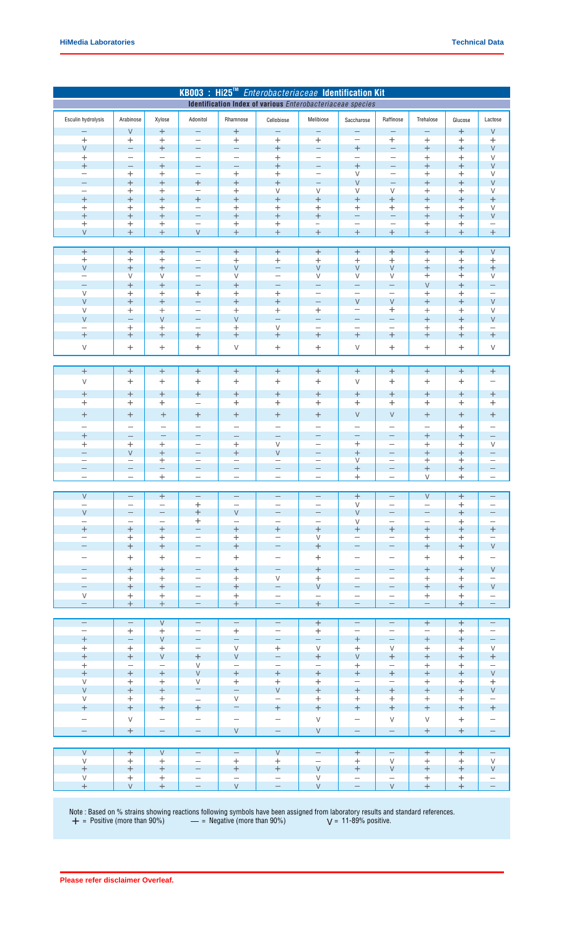| KB003 : Hi25™ Enterobacteriaceae Identification Kit<br>Identification Index of various Enterobacteriaceae species |                                                      |                                      |                                                      |                                              |                                                      |                                                      |                                                      |                                                      |                                                      |                           |                                                      |
|-------------------------------------------------------------------------------------------------------------------|------------------------------------------------------|--------------------------------------|------------------------------------------------------|----------------------------------------------|------------------------------------------------------|------------------------------------------------------|------------------------------------------------------|------------------------------------------------------|------------------------------------------------------|---------------------------|------------------------------------------------------|
|                                                                                                                   |                                                      |                                      |                                                      |                                              |                                                      |                                                      |                                                      |                                                      |                                                      |                           |                                                      |
| Esculin hydrolysis                                                                                                | Arabinose                                            | Xylose                               | Adonitol                                             | Rhamnose                                     | Cellobiose                                           | Melibiose                                            | Saccharose                                           | Raffinose                                            | Trehalose                                            | Glucose                   | Lactose                                              |
| -                                                                                                                 | $\vee$                                               | $^{+}$                               | -                                                    | $\ddot{}$                                    | —                                                    | $\overline{\phantom{m}}$                             | -                                                    | -                                                    | $\qquad \qquad -$                                    | $\ddot{}$                 | V                                                    |
| $^{+}$                                                                                                            | $\ddot{}$                                            | $\ddot{}$                            | $\overline{\phantom{0}}$                             | $+$                                          | $\ddot{}$                                            | $^{+}$                                               | $\overline{\phantom{0}}$                             | $\ddot{}$                                            | $\ddot{}$                                            | $^{+}$                    | $\pm$                                                |
| $\vee$                                                                                                            | $\qquad \qquad -$<br>$\overline{\phantom{0}}$        | $+$<br>$\overline{\phantom{0}}$      | $\overline{\phantom{m}}$<br>$\overline{\phantom{0}}$ | $\overline{\phantom{m}}$<br>—                | $+$<br>$\ddag$                                       | $\overline{\phantom{m}}$<br>$\overline{\phantom{0}}$ | $\ddot{}$<br>$\overline{\phantom{0}}$                | $\overline{\phantom{m}}$<br>$\overline{\phantom{0}}$ | $+$<br>$\ddot{}$                                     | $+$<br>$\ddot{}$          | $\vee$<br>$\vee$                                     |
| $\ddag$<br>$^{+}$                                                                                                 | $\qquad \qquad -$                                    | $\ddot{}$                            | $\qquad \qquad -$                                    | -                                            | $^{+}$                                               | $\overline{\phantom{m}}$                             | $^{+}$                                               | $\overline{\phantom{0}}$                             | $+$                                                  | $^{+}$                    | $\vee$                                               |
| $\overline{\phantom{0}}$                                                                                          | $^{+}$                                               | $\pm$                                | $\overline{\phantom{0}}$                             | $^{+}$                                       | $\,+\,$                                              | $\overline{\phantom{m}}$                             | $\vee$                                               | $\overline{\phantom{0}}$                             | $\ddot{}$                                            | $\pm$                     | $\vee$                                               |
| $\overline{\phantom{0}}$                                                                                          | $^{+}$                                               | $+$                                  | $^{+}$                                               | $^{+}$                                       | $\ddot{}$                                            | $\overline{\phantom{m}}$                             | $\vee$                                               | $\equiv$                                             | $\ddot{}$                                            | $+$                       | $\vee$                                               |
| $\overline{\phantom{0}}$                                                                                          | $\hspace{0.1mm} +$                                   | $\boldsymbol{+}$<br>$+$              | $\qquad \qquad -$                                    | $\,+\,$                                      | V                                                    | $\vee$<br>$+$                                        | $\vee$                                               | $\vee$<br>$+$                                        | $\ddot{}$                                            | $\hspace{0.1mm} +$<br>$+$ | V                                                    |
| $\ddot{}$<br>$\hspace{0.1mm} +$                                                                                   | $\ddot{}$<br>$\hspace{0.1mm} +$                      | $\ddot{}$                            | $\ddot{}$<br>$\overline{\phantom{0}}$                | $^{+}$<br>$\,+\,$                            | $\ddot{}$<br>$\hspace{0.1mm} +$                      | $^{+}$                                               | $^{+}$<br>$\, +$                                     | $\pm$                                                | $+$                                                  | $\, +$                    | $^{+}$<br>V                                          |
| $^{+}$                                                                                                            | $^{+}$                                               | $+$                                  | $\overline{\phantom{0}}$                             | $^{+}$                                       | $^{+}$                                               | $^{+}$                                               | ÷                                                    | $\overline{\phantom{0}}$                             | $+$                                                  | $+$                       | $\vee$                                               |
| $\hskip 0.025cm +$                                                                                                | $\pm$                                                | $\pm$                                | $\qquad \qquad -$                                    | $\ddag$                                      | $^+$                                                 | -                                                    | $\overline{\phantom{0}}$                             |                                                      | $\ddot{}$                                            | $\pm$                     | $\overline{\phantom{0}}$                             |
| $\vee$                                                                                                            | $^{+}$                                               | $\ddot{}$                            | $\vee$                                               | $^{+}$                                       | $^{+}$                                               | $\ddot{}$                                            | $^{+}$                                               |                                                      | $\ddot{}$                                            | $^{+}$                    | $\ddot{}$                                            |
| $^{+}$                                                                                                            | $^{+}$                                               | $^{+}$                               | $\overline{\phantom{0}}$                             | $+$                                          | $+$                                                  | $+$                                                  | $\ddot{}$                                            | $+$                                                  | $\boldsymbol{+}$                                     | $\ddot{}$                 | $\vee$                                               |
| $\,{}^{+}\,$                                                                                                      | $\,+\,$                                              | $\ddot{}$                            | $\overline{\phantom{0}}$                             | $\, +$                                       | $\,+\,$                                              | $^{+}$                                               | $\ddot{}$                                            | $+$                                                  | $+$                                                  | $\ddot{}$                 | $^{+}$                                               |
| $\vee$                                                                                                            | $\ddot{}$                                            | $^{+}$                               | $\overline{\phantom{0}}$                             | $\vee$                                       | $\overline{\phantom{0}}$                             | $\vee$                                               | $\vee$                                               | $\vee$                                               | $\qquad \qquad +$                                    | $\boldsymbol{+}$          | $\boldsymbol{+}$                                     |
| $\overline{\phantom{0}}$                                                                                          | V                                                    | $\vee$                               | $\overline{\phantom{0}}$                             | $\vee$                                       | -                                                    | $\vee$                                               | $\vee$                                               | $\vee$                                               | $^{+}$                                               | $\, +$                    | $\vee$                                               |
| $\vee$                                                                                                            | $^{+}$<br>$\,+\,$                                    | $\ddot{}$<br>$\pm$                   | $\overline{\phantom{0}}$                             | $^{+}$                                       | -                                                    | $\overline{\phantom{0}}$<br>$\overline{\phantom{0}}$ | $\equiv$<br>$\overline{\phantom{0}}$                 | $\overline{\phantom{0}}$<br>$\overline{\phantom{0}}$ | $\vee$<br>$+$                                        | $+$<br>$\mathrm{+}$       | $\overline{\phantom{0}}$<br>-                        |
| $\vee$                                                                                                            | $^{+}$                                               | $\ddot{}$                            | $\mathrm{+}$<br>$\overline{\phantom{0}}$             | $\, +$<br>$\ddag$                            | $\,{}^+$<br>$\, +$                                   | $\overline{\phantom{0}}$                             | $\vee$                                               | $\vee$                                               | $\ddot{}$                                            | $^{+}$                    | $\vee$                                               |
| V                                                                                                                 | $\ddot{}$                                            | $^{+}$                               |                                                      | $\ddag$                                      | $\ddag$                                              | $^{+}$                                               | $\qquad \qquad -$                                    | $\pm$                                                | $^{+}$                                               | $\ddot{}$                 | V                                                    |
| $\vee$                                                                                                            |                                                      | $\vee$                               | $\qquad \qquad -$                                    | $\vee$                                       |                                                      | $\overline{\phantom{0}}$                             | $\overline{\phantom{0}}$                             | $\overline{\phantom{0}}$                             | $+$                                                  | $^{+}$                    | $\vee$                                               |
|                                                                                                                   | $\mathrm{+}$                                         | $\ddot{}$                            | $\overline{\phantom{0}}$                             | $^{+}$                                       | V                                                    | $\overline{\phantom{0}}$                             | $\overline{\phantom{0}}$                             | $\overline{\phantom{0}}$                             | $\ddot{}$                                            | $\ddot{}$                 |                                                      |
| $\ddot{}$                                                                                                         | $\hspace{0.1mm} +$                                   | $\ddot{}$                            | $\ddot{}$                                            | $+$                                          | $\pm$                                                | $\! + \!\!\!\!$                                      | $\ddag$                                              | $+$                                                  | $^{+}$                                               | $\pm$                     | $\pm$                                                |
| V                                                                                                                 | $\ddot{}$                                            | $^{+}$                               | $\ddot{}$                                            | $\vee$                                       | $^{+}$                                               | $^{+}$                                               | $\vee$                                               | $\pm$                                                | $+$                                                  | $\ddot{}$                 | V                                                    |
|                                                                                                                   |                                                      |                                      |                                                      |                                              |                                                      |                                                      |                                                      |                                                      |                                                      |                           |                                                      |
| $\ddot{}$                                                                                                         | $\qquad \qquad +$                                    | $^{+}$                               | $\boldsymbol{+}$                                     | $\boldsymbol{+}$                             | $\overline{+}$                                       | $+$                                                  | $\qquad \qquad +$                                    | $\qquad \qquad +$                                    | $+$                                                  | $\overline{+}$            | $\ddag$                                              |
| V                                                                                                                 | $\ddot{}$                                            | $\ddot{}$                            | $\ddag$                                              | $\ddag$                                      | $\ddag$                                              | $\ddot{}$                                            | $\vee$                                               | $\ddot{}$                                            | $\,+\,$                                              | $\ddot{}$                 | -                                                    |
| $\, +$                                                                                                            | $\ddot{}$                                            | $\ddot{}$                            | $\pm$                                                | $\, +$                                       | $\ddot{}$                                            | $\pm$                                                | $\ddot{}$                                            | $+$                                                  | $\ddot{}$                                            | $\ddot{}$                 | $\pm$                                                |
| $\hskip 0.025cm +$                                                                                                | $^{+}$                                               | $\ddot{}$                            | $\overline{\phantom{0}}$                             | $\ddot{}$                                    | $\hskip 0.025cm +$                                   | $^{+}$                                               | $\ddot{}$                                            | $^{+}$                                               | $^{+}$                                               | $\ddot{}$                 | $\mathrm{+}$                                         |
| $\hbox{+}$                                                                                                        | $\boldsymbol{+}$                                     | $\boldsymbol{+}$                     | $\mathrm{+}$                                         | $\hspace{0.1mm} +$                           | $\, +$                                               | $\! + \!\!\!\!$                                      | $\vee$                                               | $\vee$                                               | $\ddot{}$                                            | $\ddot{}$                 | $\mathrm{+}$                                         |
|                                                                                                                   | $\overline{\phantom{0}}$                             | $\qquad \qquad$                      |                                                      | -                                            |                                                      |                                                      |                                                      |                                                      | $\overline{\phantom{0}}$                             | $\ddot{}$                 |                                                      |
| $^{+}$                                                                                                            | $\qquad \qquad$                                      | $\overline{\phantom{0}}$             | $\qquad \qquad -$                                    | $\overline{\phantom{a}}$                     | $\overline{\phantom{0}}$                             | $\overline{\phantom{0}}$                             | $\overline{\phantom{0}}$                             | $\overline{\phantom{0}}$                             | $+$                                                  | $\ddot{}$                 |                                                      |
| $^{+}$                                                                                                            | $+$                                                  | $^{+}$                               | $\overline{\phantom{0}}$                             | $\ddag$                                      | V                                                    | $\overline{\phantom{0}}$                             | $\ddot{}$                                            | $\overline{\phantom{0}}$                             | $\pm$                                                | $^{+}$                    | V                                                    |
| $\overline{\phantom{0}}$<br>$\overline{\phantom{0}}$                                                              | $\vee$<br>-                                          | $+$                                  | $\qquad \qquad$<br>$\overline{\phantom{0}}$          | $\pm$                                        | $\vee$<br>-                                          | $\overline{\phantom{m}}$<br>$\overline{\phantom{0}}$ | $^{+}$<br>V                                          | $\overline{\phantom{m}}$<br>$\overline{\phantom{0}}$ | $+$                                                  | $+$                       | $\overline{\phantom{0}}$<br>$\overline{\phantom{0}}$ |
| -                                                                                                                 | —                                                    | $\mathrm{+}$<br>$\qquad \qquad -$    | —                                                    | -                                            | -                                                    | $\qquad \qquad -$                                    | $^{+}$                                               | $\qquad \qquad -$                                    | $\ddot{}$<br>$\ddot{}$                               | $\pm$<br>$\ddot{}$        | -                                                    |
| $\overline{\phantom{0}}$                                                                                          | $\overline{\phantom{0}}$                             | $\mathrm{+}$                         | $\overline{\phantom{0}}$                             | —                                            | $\overline{\phantom{0}}$                             | $\overline{\phantom{0}}$                             | $\ddot{}$                                            |                                                      | $\vee$                                               | $\ddot{}$                 | $\qquad \qquad -$                                    |
|                                                                                                                   |                                                      |                                      |                                                      |                                              |                                                      |                                                      |                                                      |                                                      |                                                      |                           |                                                      |
| $\vee$                                                                                                            | -                                                    | $+$                                  | —                                                    | -                                            | -                                                    |                                                      | $^{+}$                                               |                                                      | $\vee$                                               | $+$                       | $\qquad \qquad -$                                    |
| $\overline{\phantom{0}}$<br>$\vee$                                                                                | $\overline{\phantom{m}}$<br>$\overline{\phantom{m}}$ | $\overline{\phantom{m}}$<br>$\equiv$ | $\pm$<br>$+$                                         | $\vee$                                       | $\overline{\phantom{m}}$<br>$\overline{\phantom{0}}$ | $\overline{\phantom{0}}$<br>$\qquad \qquad -$        | $\vee$<br>$\vee$                                     | $\overline{\phantom{0}}$<br>$\qquad \qquad -$        | $\overline{\phantom{0}}$<br>$\overline{\phantom{m}}$ | $^{+}$<br>$+$             | $\qquad \qquad$<br>$\qquad \qquad -$                 |
| $\overline{\phantom{m}}$                                                                                          | $\qquad \qquad -$                                    | $\overline{\phantom{m}}$             | $+$                                                  | $\overline{\phantom{m}}$                     | $-$                                                  | $\overline{\phantom{m}}$                             | $\vee$                                               | $\overline{\phantom{0}}$                             | $\overline{\phantom{0}}$                             | $+$                       | $\qquad \qquad =$                                    |
| $+$                                                                                                               | $+$                                                  | $+$                                  | $\overline{\phantom{m}}$                             | $\boldsymbol{+}$                             | $+$                                                  | $\qquad \qquad +$                                    | $\pm$                                                | $+$                                                  | $+$                                                  | $+$                       | $\! + \!$                                            |
| $\overline{\phantom{m}}$                                                                                          | $^{+}$                                               | $^{+}$                               | $\overline{\phantom{m}}$                             | $+$                                          | $\overline{\phantom{0}}$                             | $\vee$                                               | $\overline{\phantom{m}}$                             | $\overline{\phantom{m}}$                             | $^{+}$                                               | $+$                       | $\overline{\phantom{m}}$                             |
| $\equiv$                                                                                                          | $^{+}$                                               | $+$                                  | $\qquad \qquad -$                                    | $\boldsymbol{+}$                             | -                                                    | $\boldsymbol{+}$                                     | $\equiv$                                             | $\qquad \qquad -$                                    | $+$                                                  | $+$                       | $\vee$                                               |
| $\overline{\phantom{0}}$                                                                                          | $^{+}$                                               | $^{+}$                               | $\overline{\phantom{0}}$                             | $\boldsymbol{+}$                             | $\overline{\phantom{0}}$                             | $\qquad \qquad +$                                    | $\overline{\phantom{0}}$                             | $\overline{\phantom{0}}$                             | $\ddot{}$                                            | $+$                       | $\overline{\phantom{0}}$                             |
| -                                                                                                                 | $\boldsymbol{+}$                                     | $\boldsymbol{+}$                     | $\overline{\phantom{0}}$                             | $\boldsymbol{+}$                             | $\overline{\phantom{0}}$                             | $+$                                                  | $\overline{\phantom{0}}$                             | $\overline{\phantom{0}}$                             | $\! +$                                               | $+$                       | V                                                    |
| $\overline{\phantom{0}}$<br>$\qquad \qquad -$                                                                     | $^{+}$<br>$^{+}$                                     | $^{+}$<br>$+$                        | $\overline{\phantom{0}}$<br>$\qquad \qquad -$        | $+$<br>$+$                                   | V<br>$\overline{\phantom{0}}$                        | $^{+}$<br>$\vee$                                     | $\overline{\phantom{0}}$<br>$\overline{\phantom{m}}$ | $\overline{\phantom{0}}$<br>$\overline{\phantom{0}}$ | $+$<br>$+$                                           | $+$<br>$+$                | $\qquad \qquad -$<br>V                               |
| V                                                                                                                 | $+$                                                  | $^{+}$                               | $\overline{\phantom{0}}$                             | $^{+}$                                       | $\overline{\phantom{0}}$                             | $\overline{\phantom{0}}$                             | $\overline{\phantom{0}}$                             | $\overline{\phantom{0}}$                             | $+$                                                  | $+$                       | $\overline{\phantom{0}}$                             |
| $\qquad \qquad -$                                                                                                 | $+$                                                  | $+$                                  | $\overline{\phantom{0}}$                             | $\pm$                                        | $\overline{\phantom{0}}$                             | $+$                                                  | $\overline{\phantom{m}}$                             | $\overline{\phantom{0}}$                             | $\overline{\phantom{m}}$                             | $+$                       | $\overline{\phantom{0}}$                             |
|                                                                                                                   |                                                      |                                      |                                                      |                                              |                                                      |                                                      |                                                      |                                                      |                                                      |                           |                                                      |
| $\hspace{1.0cm} - \hspace{1.0cm}$                                                                                 | $\overline{\phantom{m}}$                             | $\vee$                               | $\overline{\phantom{m}}$                             | $\overline{\phantom{m}}$                     | $\overline{\phantom{m}}$                             | $^{+}$                                               | $\overline{\phantom{m}}$<br>$\overline{\phantom{m}}$ | $\overline{\phantom{m}}$                             | $+$                                                  | $^{+}$                    | $\overline{\phantom{m}}$                             |
| $\overline{\phantom{m}}$<br>$\qquad \qquad +$                                                                     | $+$<br>$\equiv$                                      | $^{+}$<br>$\vee$                     | $\overline{\phantom{m}}$<br>$\qquad \qquad -$        | $+$<br>$\overline{\phantom{m}}$              | $\overline{\phantom{m}}$<br>$\overline{\phantom{0}}$ | $+$<br>$\overline{\phantom{m}}$                      | $^{+}$                                               | $\overline{\phantom{m}}$<br>$\overline{\phantom{0}}$ | $\overline{\phantom{m}}$<br>$+$                      | $+$<br>$+$                | $\overline{\phantom{m}}$<br>$\overline{\phantom{m}}$ |
| $+$                                                                                                               | $+$                                                  | $+$                                  | $\overline{\phantom{m}}$                             | $\vee$                                       | $+$                                                  | $\vee$                                               | $+$                                                  | $\vee$                                               | $+$                                                  | $+$                       | V                                                    |
| $\boldsymbol{+}$                                                                                                  | $+$                                                  | $\vee$                               | $+$                                                  | $\vee$                                       | $\overline{\phantom{0}}$                             | $+$                                                  | $\vee$                                               | $+$                                                  | $+$                                                  | $+$                       | $+$                                                  |
| $\boldsymbol{+}$                                                                                                  | $\overline{\phantom{0}}$                             | $\overline{\phantom{m}}$             | $\vee$                                               | $\overline{\phantom{m}}$                     | $\overline{\phantom{0}}$                             | $\qquad \qquad -$                                    | $+$                                                  | $\overline{\phantom{0}}$                             | $+$                                                  | $+$                       | $\overline{\phantom{0}}$                             |
| $\boldsymbol{+}$<br>$\overline{V}$                                                                                | $\qquad \qquad +$<br>$+$                             | $^{+}$<br>$^{+}$                     | $\vee$<br>V                                          | $\boldsymbol{+}$<br>$+$                      | $+$<br>$^{+}$                                        | $+$<br>$+$                                           | $+$<br>$\overline{\phantom{m}}$                      | $+$<br>$\overline{\phantom{0}}$                      | $+$<br>$+$                                           | $+$<br>$+$                | $\vee$<br>$^{+}$                                     |
| $\vee$                                                                                                            | $+$                                                  | $+$                                  | $\overline{\phantom{m}}$                             | $\equiv$                                     | V                                                    | $+$                                                  | $+$                                                  | $+$                                                  | $+$                                                  | $+$                       | $\vee$                                               |
| V                                                                                                                 | $^{+}$                                               | $^{+}$                               | $\overline{\phantom{0}}$                             | $\vee$                                       | $\overline{\phantom{0}}$                             | $^{+}$                                               | $^{+}$                                               | $+$                                                  | $+$                                                  | $+$                       | $\qquad \qquad -$                                    |
| $\ddot{}$                                                                                                         | $\boldsymbol{+}$                                     | $\! + \!\!\!\!$                      | $\boldsymbol{+}$                                     | $\rightarrow$                                | $\boldsymbol{+}$                                     | $\ddot{}$                                            | $\boldsymbol{+}$                                     | $\boldsymbol{+}$                                     | $\boldsymbol{+}$                                     | $\pm$                     | $\boldsymbol{+}$                                     |
| -                                                                                                                 | $\vee$                                               | $\overline{\phantom{0}}$             | -                                                    | $\overline{\phantom{0}}$                     | $\overline{\phantom{0}}$                             | $\vee$                                               | $\qquad \qquad -$                                    | $\vee$                                               | $\vee$                                               | $+$                       | -                                                    |
| $\equiv$                                                                                                          | $+$                                                  | $\equiv$                             | $\overline{\phantom{0}}$                             | V                                            | $\overline{\phantom{m}}$                             | V                                                    | $\overline{\phantom{m}}$                             | $\overline{\phantom{0}}$                             | $+$                                                  | $+$                       | $\equiv$                                             |
|                                                                                                                   |                                                      |                                      |                                                      |                                              |                                                      |                                                      |                                                      |                                                      |                                                      |                           |                                                      |
| $\vee$                                                                                                            | $^{+}$                                               | V                                    | $\overline{\phantom{m}}$                             | $\overline{\phantom{m}}$                     | $\vee$                                               | $\overline{\phantom{m}}$                             | $+$                                                  | $\overline{\phantom{m}}$                             | $+$                                                  | $+$                       | $\qquad \qquad -$                                    |
| V                                                                                                                 | $+$                                                  | $^{+}$                               | $\overline{\phantom{m}}$                             | $+$                                          | $+$                                                  | $\overline{\phantom{m}}$                             | $+$                                                  | $\vee$                                               | $^{+}$                                               | $+$                       | $\vee$                                               |
| $\qquad \qquad +$                                                                                                 | $^{+}$                                               | $\qquad \qquad +$                    | -                                                    | $\boldsymbol{+}$<br>$\overline{\phantom{m}}$ | $+$<br>$\overline{\phantom{0}}$                      | $\vee$<br>V                                          | $+$                                                  | $\vee$                                               | $+$                                                  | $^{+}$                    | V                                                    |
| V<br>$\qquad \qquad +$                                                                                            | $^{+}$<br>V.                                         | $+$<br>$+$                           | $\overline{\phantom{m}}$<br>$\equiv$                 | $\bar{\mathsf{V}}$                           | $\equiv$                                             | $\vee$                                               | $\overline{\phantom{m}}$<br>$\equiv$                 | $\overline{\phantom{m}}$<br>$\vee$                   | $+$<br>$+$                                           | $+$<br>$+$                | $\overline{\phantom{0}}$<br>$\equiv$                 |
|                                                                                                                   |                                                      |                                      |                                                      |                                              |                                                      |                                                      |                                                      |                                                      |                                                      |                           |                                                      |

Note : Based on % strains showing reactions following symbols have been assigned from laboratory results and standard references.<br>  $+$  = Positive (more than 90%)  $-$  = Negative (more than 90%)  $V = 11-89%$  positive.